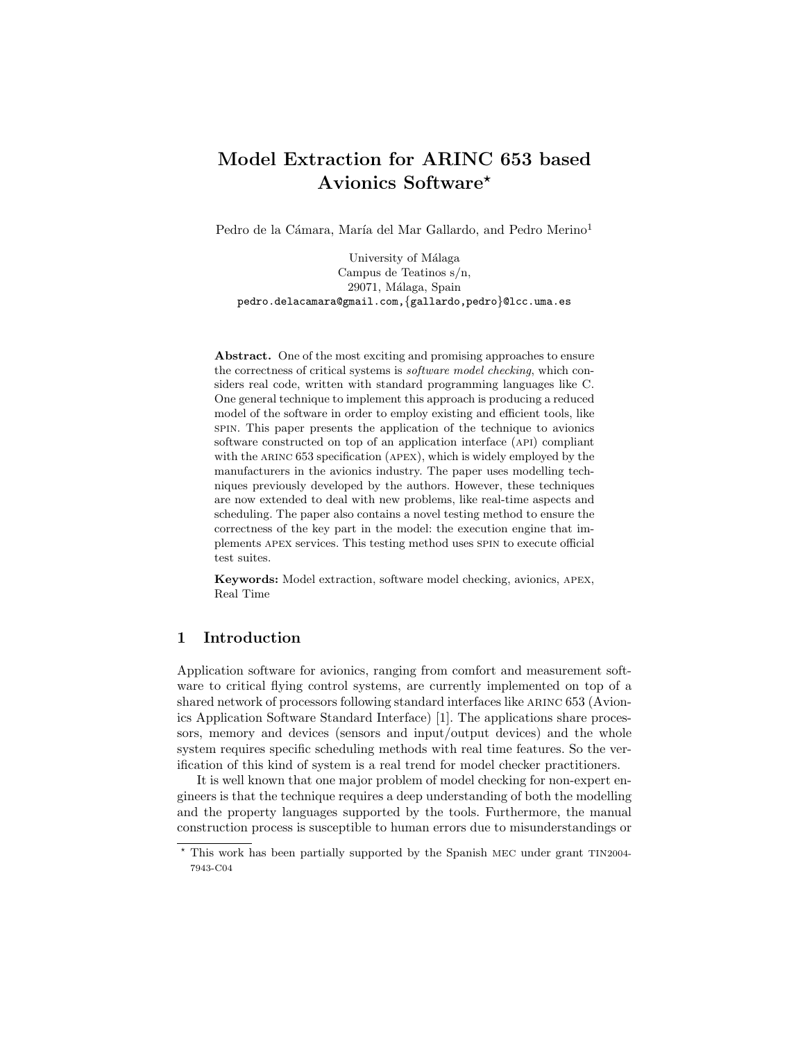# Model Extraction for ARINC 653 based Avionics Software?

Pedro de la Cámara, María del Mar Gallardo, and Pedro Merino<sup>1</sup>

University of Málaga Campus de Teatinos s/n, 29071, Málaga, Spain pedro.delacamara@gmail.com,{gallardo,pedro}@lcc.uma.es

Abstract. One of the most exciting and promising approaches to ensure the correctness of critical systems is software model checking, which considers real code, written with standard programming languages like C. One general technique to implement this approach is producing a reduced model of the software in order to employ existing and efficient tools, like spin. This paper presents the application of the technique to avionics software constructed on top of an application interface (API) compliant with the ARINC 653 specification (APEX), which is widely employed by the manufacturers in the avionics industry. The paper uses modelling techniques previously developed by the authors. However, these techniques are now extended to deal with new problems, like real-time aspects and scheduling. The paper also contains a novel testing method to ensure the correctness of the key part in the model: the execution engine that implements apex services. This testing method uses spin to execute official test suites.

Keywords: Model extraction, software model checking, avionics, apex, Real Time

# 1 Introduction

Application software for avionics, ranging from comfort and measurement software to critical flying control systems, are currently implemented on top of a shared network of processors following standard interfaces like ARINC 653 (Avionics Application Software Standard Interface) [1]. The applications share processors, memory and devices (sensors and input/output devices) and the whole system requires specific scheduling methods with real time features. So the verification of this kind of system is a real trend for model checker practitioners.

It is well known that one major problem of model checking for non-expert engineers is that the technique requires a deep understanding of both the modelling and the property languages supported by the tools. Furthermore, the manual construction process is susceptible to human errors due to misunderstandings or

<sup>?</sup> This work has been partially supported by the Spanish MEC under grant TIN2004- 7943-C04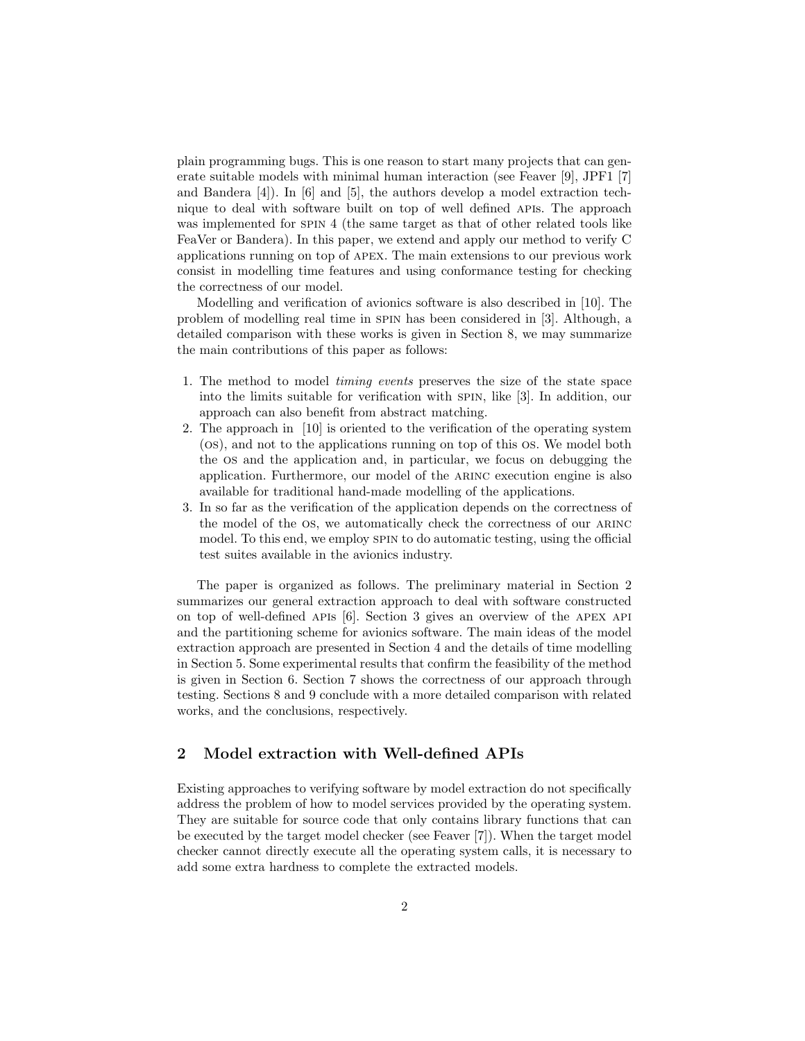plain programming bugs. This is one reason to start many projects that can generate suitable models with minimal human interaction (see Feaver [9], JPF1 [7] and Bandera  $[4]$ ). In  $[6]$  and  $[5]$ , the authors develop a model extraction technique to deal with software built on top of well defined APIS. The approach was implemented for SPIN 4 (the same target as that of other related tools like FeaVer or Bandera). In this paper, we extend and apply our method to verify C applications running on top of apex. The main extensions to our previous work consist in modelling time features and using conformance testing for checking the correctness of our model.

Modelling and verification of avionics software is also described in [10]. The problem of modelling real time in spin has been considered in [3]. Although, a detailed comparison with these works is given in Section 8, we may summarize the main contributions of this paper as follows:

- 1. The method to model timing events preserves the size of the state space into the limits suitable for verification with spin, like [3]. In addition, our approach can also benefit from abstract matching.
- 2. The approach in [10] is oriented to the verification of the operating system (os), and not to the applications running on top of this os. We model both the os and the application and, in particular, we focus on debugging the application. Furthermore, our model of the arinc execution engine is also available for traditional hand-made modelling of the applications.
- 3. In so far as the verification of the application depends on the correctness of the model of the OS, we automatically check the correctness of our ARINC model. To this end, we employ spin to do automatic testing, using the official test suites available in the avionics industry.

The paper is organized as follows. The preliminary material in Section 2 summarizes our general extraction approach to deal with software constructed on top of well-defined apis [6]. Section 3 gives an overview of the apex api and the partitioning scheme for avionics software. The main ideas of the model extraction approach are presented in Section 4 and the details of time modelling in Section 5. Some experimental results that confirm the feasibility of the method is given in Section 6. Section 7 shows the correctness of our approach through testing. Sections 8 and 9 conclude with a more detailed comparison with related works, and the conclusions, respectively.

# 2 Model extraction with Well-defined APIs

Existing approaches to verifying software by model extraction do not specifically address the problem of how to model services provided by the operating system. They are suitable for source code that only contains library functions that can be executed by the target model checker (see Feaver [7]). When the target model checker cannot directly execute all the operating system calls, it is necessary to add some extra hardness to complete the extracted models.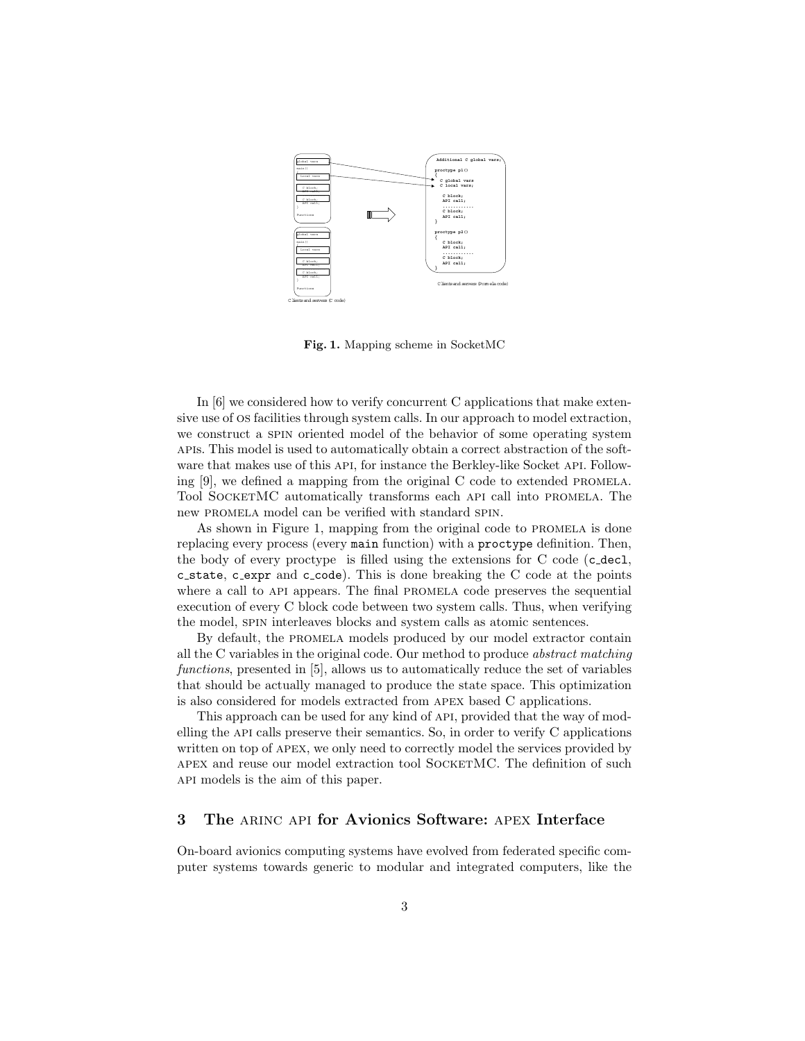

Fig. 1. Mapping scheme in SocketMC

In [6] we considered how to verify concurrent C applications that make extensive use of os facilities through system calls. In our approach to model extraction, we construct a spin oriented model of the behavior of some operating system apis. This model is used to automatically obtain a correct abstraction of the software that makes use of this API, for instance the Berkley-like Socket API. Following  $[9]$ , we defined a mapping from the original C code to extended PROMELA. Tool SocketMC automatically transforms each api call into promela. The new promela model can be verified with standard spin.

As shown in Figure 1, mapping from the original code to PROMELA is done replacing every process (every main function) with a proctype definition. Then, the body of every proctype is filled using the extensions for C code (c decl, c state, c expr and c code). This is done breaking the C code at the points where a call to API appears. The final PROMELA code preserves the sequential execution of every C block code between two system calls. Thus, when verifying the model, spin interleaves blocks and system calls as atomic sentences.

By default, the promela models produced by our model extractor contain all the C variables in the original code. Our method to produce abstract matching functions, presented in [5], allows us to automatically reduce the set of variables that should be actually managed to produce the state space. This optimization is also considered for models extracted from apex based C applications.

This approach can be used for any kind of API, provided that the way of modelling the api calls preserve their semantics. So, in order to verify C applications written on top of APEX, we only need to correctly model the services provided by apex and reuse our model extraction tool SocketMC. The definition of such api models is the aim of this paper.

### 3 The ARINC API for Avionics Software: APEX Interface

On-board avionics computing systems have evolved from federated specific computer systems towards generic to modular and integrated computers, like the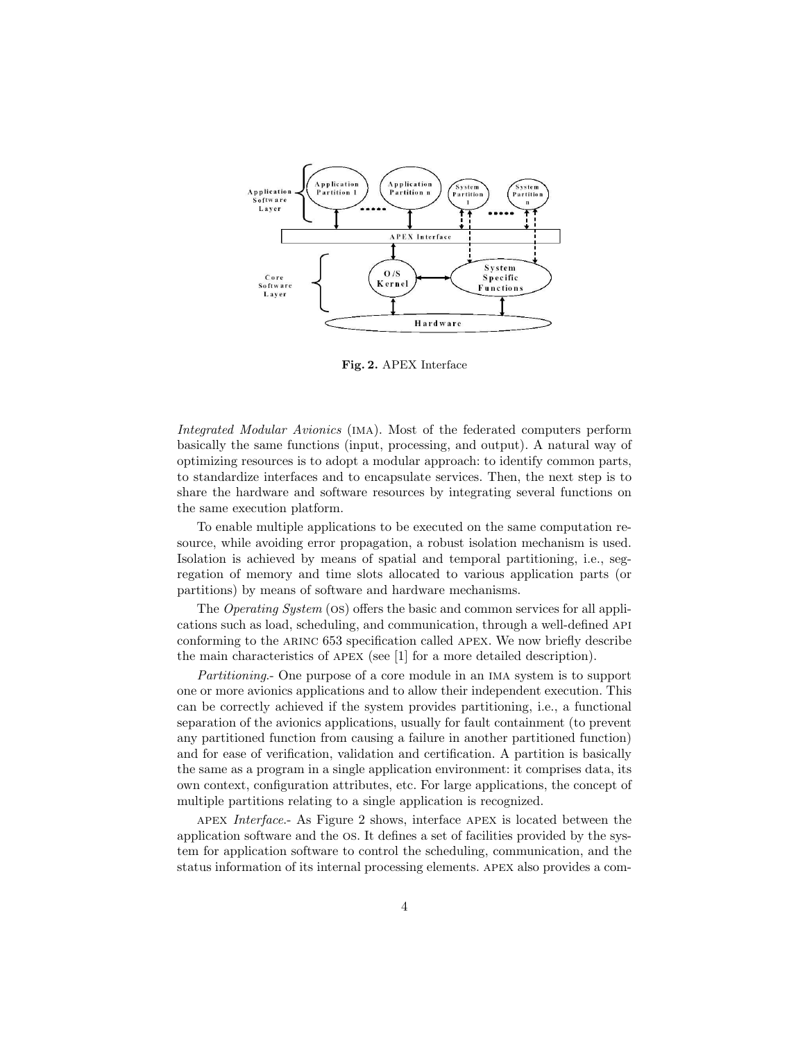

Fig. 2. APEX Interface

Integrated Modular Avionics (ima). Most of the federated computers perform basically the same functions (input, processing, and output). A natural way of optimizing resources is to adopt a modular approach: to identify common parts, to standardize interfaces and to encapsulate services. Then, the next step is to share the hardware and software resources by integrating several functions on the same execution platform.

To enable multiple applications to be executed on the same computation resource, while avoiding error propagation, a robust isolation mechanism is used. Isolation is achieved by means of spatial and temporal partitioning, i.e., segregation of memory and time slots allocated to various application parts (or partitions) by means of software and hardware mechanisms.

The Operating System (os) offers the basic and common services for all applications such as load, scheduling, and communication, through a well-defined api conforming to the arinc 653 specification called apex. We now briefly describe the main characteristics of apex (see [1] for a more detailed description).

Partitioning.- One purpose of a core module in an IMA system is to support one or more avionics applications and to allow their independent execution. This can be correctly achieved if the system provides partitioning, i.e., a functional separation of the avionics applications, usually for fault containment (to prevent any partitioned function from causing a failure in another partitioned function) and for ease of verification, validation and certification. A partition is basically the same as a program in a single application environment: it comprises data, its own context, configuration attributes, etc. For large applications, the concept of multiple partitions relating to a single application is recognized.

apex Interface.- As Figure 2 shows, interface apex is located between the application software and the os. It defines a set of facilities provided by the system for application software to control the scheduling, communication, and the status information of its internal processing elements. apex also provides a com-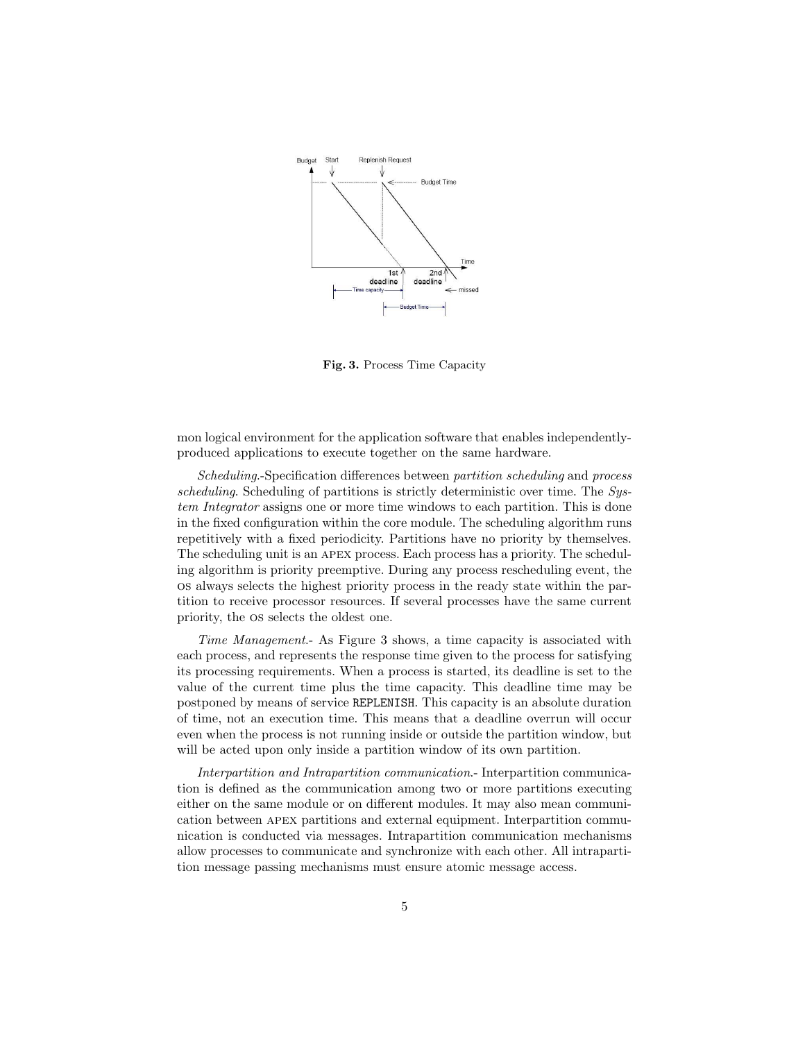

Fig. 3. Process Time Capacity

mon logical environment for the application software that enables independentlyproduced applications to execute together on the same hardware.

Scheduling.-Specification differences between partition scheduling and process scheduling. Scheduling of partitions is strictly deterministic over time. The System Integrator assigns one or more time windows to each partition. This is done in the fixed configuration within the core module. The scheduling algorithm runs repetitively with a fixed periodicity. Partitions have no priority by themselves. The scheduling unit is an apex process. Each process has a priority. The scheduling algorithm is priority preemptive. During any process rescheduling event, the os always selects the highest priority process in the ready state within the partition to receive processor resources. If several processes have the same current priority, the os selects the oldest one.

Time Management.- As Figure 3 shows, a time capacity is associated with each process, and represents the response time given to the process for satisfying its processing requirements. When a process is started, its deadline is set to the value of the current time plus the time capacity. This deadline time may be postponed by means of service REPLENISH. This capacity is an absolute duration of time, not an execution time. This means that a deadline overrun will occur even when the process is not running inside or outside the partition window, but will be acted upon only inside a partition window of its own partition.

Interpartition and Intrapartition communication.- Interpartition communication is defined as the communication among two or more partitions executing either on the same module or on different modules. It may also mean communication between apex partitions and external equipment. Interpartition communication is conducted via messages. Intrapartition communication mechanisms allow processes to communicate and synchronize with each other. All intrapartition message passing mechanisms must ensure atomic message access.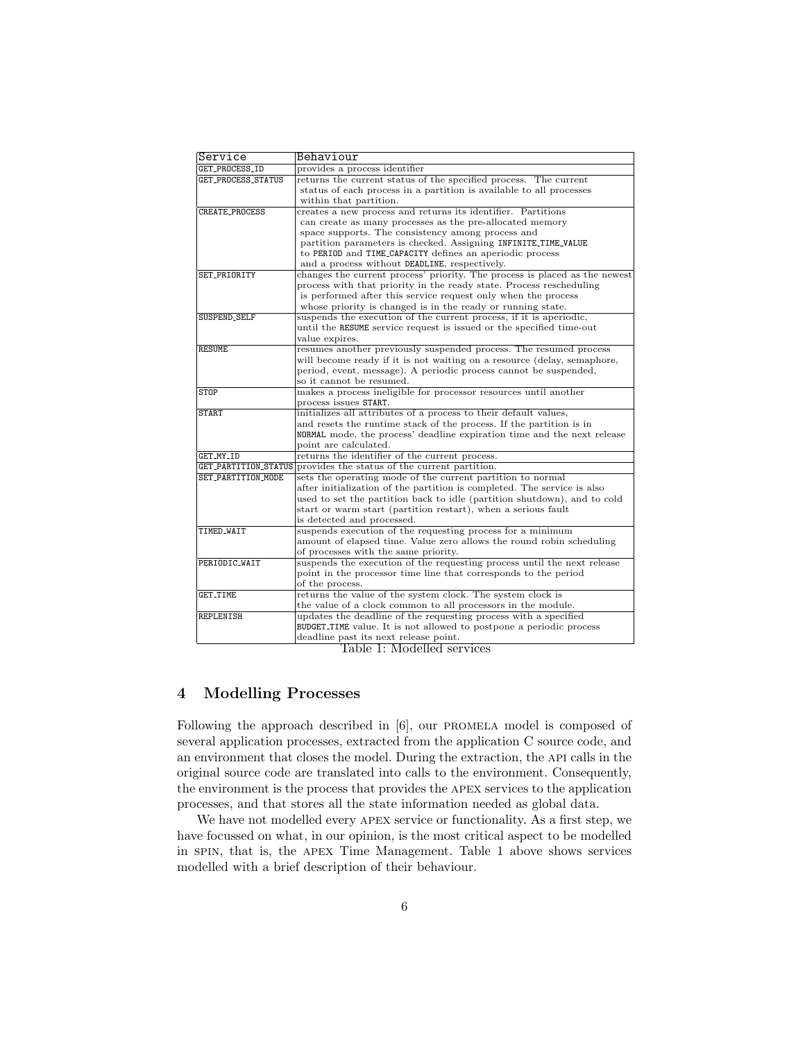| Service             | Behaviour                                                                  |
|---------------------|----------------------------------------------------------------------------|
| GET_PROCESS_ID      | provides a process identifier                                              |
| GET_PROCESS_STATUS  | returns the current status of the specified process. The current           |
|                     | status of each process in a partition is available to all processes        |
|                     | within that partition.                                                     |
| CREATE_PROCESS      | creates a new process and returns its identifier. Partitions               |
|                     | can create as many processes as the pre-allocated memory                   |
|                     | space supports. The consistency among process and                          |
|                     | partition parameters is checked. Assigning INFINITE_TIME_VALUE             |
|                     | to PERIOD and TIME_CAPACITY defines an aperiodic process                   |
|                     | and a process without DEADLINE, respectively.                              |
| <b>SET_PRIORITY</b> | changes the current process' priority. The process is placed as the newest |
|                     | process with that priority in the ready state. Process rescheduling        |
|                     | is performed after this service request only when the process              |
|                     | whose priority is changed is in the ready or running state.                |
| SUSPEND_SELF        | suspends the execution of the current process, if it is aperiodic,         |
|                     | until the RESUME service request is issued or the specified time-out       |
|                     | value expires.                                                             |
| <b>RESUME</b>       | resumes another previously suspended process. The resumed process          |
|                     | will become ready if it is not waiting on a resource (delay, semaphore,    |
|                     | period, event, message). A periodic process cannot be suspended,           |
|                     | so it cannot be resumed.                                                   |
| <b>STOP</b>         | makes a process ineligible for processor resources until another           |
|                     | process issues START.                                                      |
| <b>START</b>        | initializes all attributes of a process to their default values,           |
|                     | and resets the runtime stack of the process. If the partition is in        |
|                     | NORMAL mode, the process' deadline expiration time and the next release    |
|                     | point are calculated.                                                      |
| GET_MY_ID           | returns the identifier of the current process.                             |
|                     | GET_PARTITION_STATUS provides the status of the current partition.         |
| SET_PARTITION_MODE  | sets the operating mode of the current partition to normal                 |
|                     | after initialization of the partition is completed. The service is also    |
|                     | used to set the partition back to idle (partition shutdown), and to cold   |
|                     | start or warm start (partition restart), when a serious fault              |
|                     | is detected and processed.                                                 |
| TIMED_WAIT          | suspends execution of the requesting process for a minimum                 |
|                     | amount of elapsed time. Value zero allows the round robin scheduling       |
|                     | of processes with the same priority.                                       |
| PERIODIC_WAIT       | suspends the execution of the requesting process until the next release    |
|                     | point in the processor time line that corresponds to the period            |
|                     | of the process.                                                            |
| <b>GET_TIME</b>     | returns the value of the system clock. The system clock is                 |
|                     | the value of a clock common to all processors in the module.               |
| REPLENISH           | updates the deadline of the requesting process with a specified            |
|                     | BUDGET_TIME value. It is not allowed to postpone a periodic process        |
|                     | deadline past its next release point.                                      |

Table 1: Modelled services

# 4 Modelling Processes

Following the approach described in [6], our PROMELA model is composed of several application processes, extracted from the application C source code, and an environment that closes the model. During the extraction, the api calls in the original source code are translated into calls to the environment. Consequently, the environment is the process that provides the apex services to the application processes, and that stores all the state information needed as global data.

We have not modelled every apex service or functionality. As a first step, we have focussed on what, in our opinion, is the most critical aspect to be modelled in spin, that is, the apex Time Management. Table 1 above shows services modelled with a brief description of their behaviour.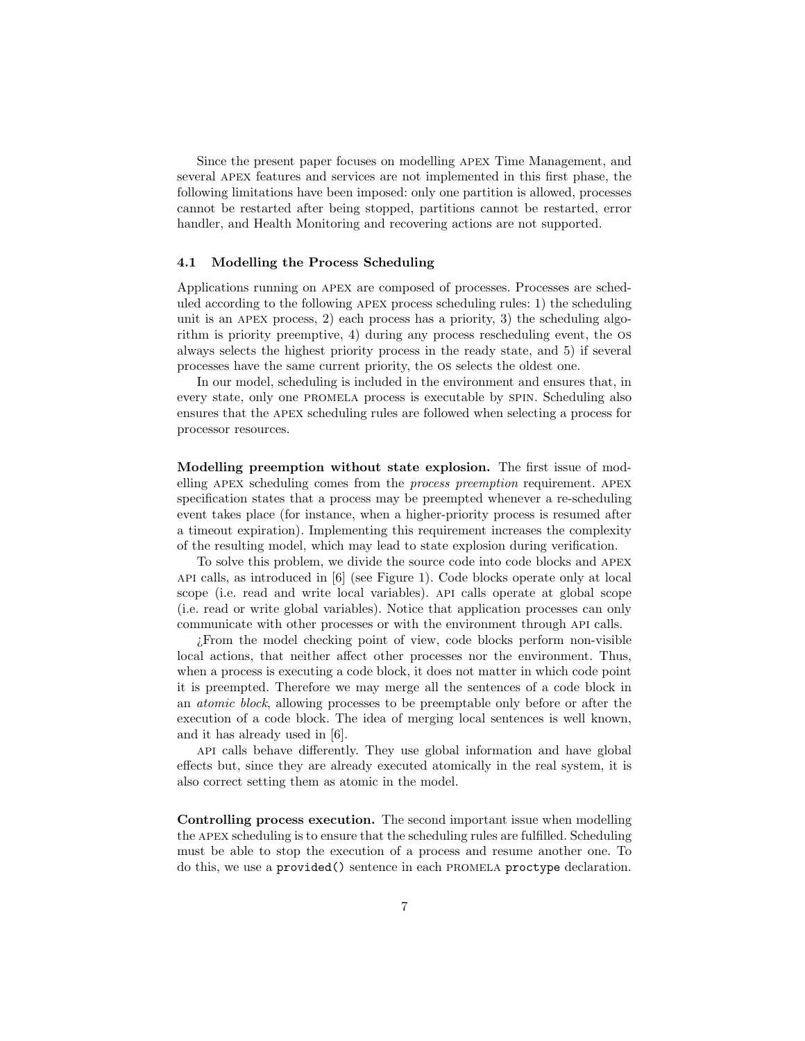Since the present paper focuses on modelling apex Time Management, and several apex features and services are not implemented in this first phase, the following limitations have been imposed: only one partition is allowed, processes cannot be restarted after being stopped, partitions cannot be restarted, error handler, and Health Monitoring and recovering actions are not supported.

#### 4.1 Modelling the Process Scheduling

Applications running on apex are composed of processes. Processes are scheduled according to the following apex process scheduling rules: 1) the scheduling unit is an apex process, 2) each process has a priority, 3) the scheduling algorithm is priority preemptive, 4) during any process rescheduling event, the os always selects the highest priority process in the ready state, and 5) if several processes have the same current priority, the os selects the oldest one.

In our model, scheduling is included in the environment and ensures that, in every state, only one promela process is executable by spin. Scheduling also ensures that the apex scheduling rules are followed when selecting a process for processor resources.

Modelling preemption without state explosion. The first issue of modelling apex scheduling comes from the process preemption requirement. apex specification states that a process may be preempted whenever a re-scheduling event takes place (for instance, when a higher-priority process is resumed after a timeout expiration). Implementing this requirement increases the complexity of the resulting model, which may lead to state explosion during verification.

To solve this problem, we divide the source code into code blocks and apex api calls, as introduced in [6] (see Figure 1). Code blocks operate only at local scope (i.e. read and write local variables). api calls operate at global scope (i.e. read or write global variables). Notice that application processes can only communicate with other processes or with the environment through api calls.

¿From the model checking point of view, code blocks perform non-visible local actions, that neither affect other processes nor the environment. Thus, when a process is executing a code block, it does not matter in which code point it is preempted. Therefore we may merge all the sentences of a code block in an atomic block, allowing processes to be preemptable only before or after the execution of a code block. The idea of merging local sentences is well known, and it has already used in [6].

api calls behave differently. They use global information and have global effects but, since they are already executed atomically in the real system, it is also correct setting them as atomic in the model.

Controlling process execution. The second important issue when modelling the apex scheduling is to ensure that the scheduling rules are fulfilled. Scheduling must be able to stop the execution of a process and resume another one. To do this, we use a provided() sentence in each promela proctype declaration.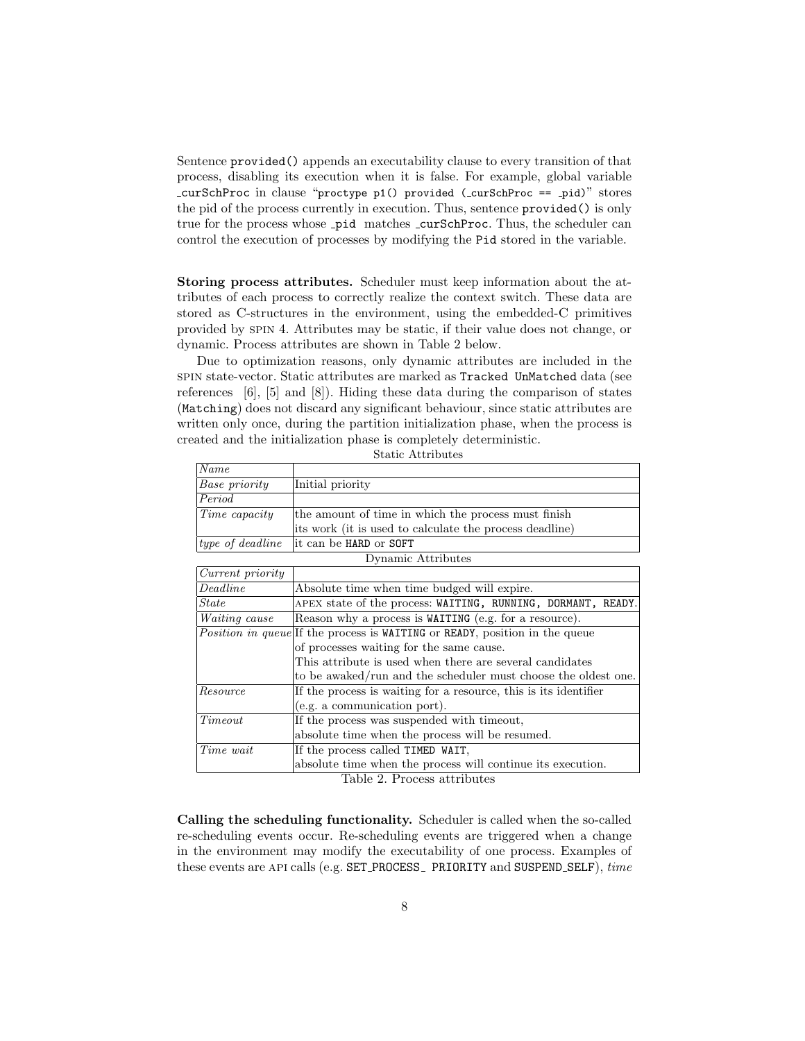Sentence provided() appends an executability clause to every transition of that process, disabling its execution when it is false. For example, global variable curSchProc in clause "proctype p1() provided ( curSchProc == pid)" stores the pid of the process currently in execution. Thus, sentence provided() is only true for the process whose pid matches curSchProc. Thus, the scheduler can control the execution of processes by modifying the Pid stored in the variable.

Storing process attributes. Scheduler must keep information about the attributes of each process to correctly realize the context switch. These data are stored as C-structures in the environment, using the embedded-C primitives provided by spin 4. Attributes may be static, if their value does not change, or dynamic. Process attributes are shown in Table 2 below.

Due to optimization reasons, only dynamic attributes are included in the spin state-vector. Static attributes are marked as Tracked UnMatched data (see references [6], [5] and [8]). Hiding these data during the comparison of states (Matching) does not discard any significant behaviour, since static attributes are written only once, during the partition initialization phase, when the process is created and the initialization phase is completely deterministic.

| $\vert Name$          |                                                         |  |
|-----------------------|---------------------------------------------------------|--|
| <i>Base priority</i>  | Initial priority                                        |  |
| Period                |                                                         |  |
| $\vert$ Time capacity | the amount of time in which the process must finish     |  |
|                       | its work (it is used to calculate the process deadline) |  |
|                       | $ type\ of\ deadline\  it\ can\ be\ HARD\ or\ SOFF\$    |  |

Static Attributes

| Dynamic Attributes   |                                                                                                   |  |
|----------------------|---------------------------------------------------------------------------------------------------|--|
| Current priority     |                                                                                                   |  |
| Deadline             | Absolute time when time budged will expire.                                                       |  |
| <i>State</i>         | APEX state of the process: WAITING, RUNNING, DORMANT, READY.                                      |  |
| <i>Waiting cause</i> | Reason why a process is <b>WAITING</b> (e.g. for a resource).                                     |  |
|                      | <i>Position in queue</i> If the process is <b>WAITING</b> or <b>READY</b> , position in the queue |  |
|                      | of processes waiting for the same cause.                                                          |  |
|                      | This attribute is used when there are several candidates                                          |  |
|                      | to be awaked/run and the scheduler must choose the oldest one.                                    |  |
| Resource             | If the process is waiting for a resource, this is its identifier                                  |  |
|                      | (e.g. a communication port).                                                                      |  |
| Timeout              | If the process was suspended with timeout,                                                        |  |
|                      | absolute time when the process will be resumed.                                                   |  |
| <i>Time wait</i>     | If the process called TIMED WAIT,                                                                 |  |
|                      | absolute time when the process will continue its execution.                                       |  |

Table 2. Process attributes

Calling the scheduling functionality. Scheduler is called when the so-called re-scheduling events occur. Re-scheduling events are triggered when a change in the environment may modify the executability of one process. Examples of these events are API calls (e.g. SET\_PROCESS\_ PRIORITY and SUSPEND\_SELF),  $time$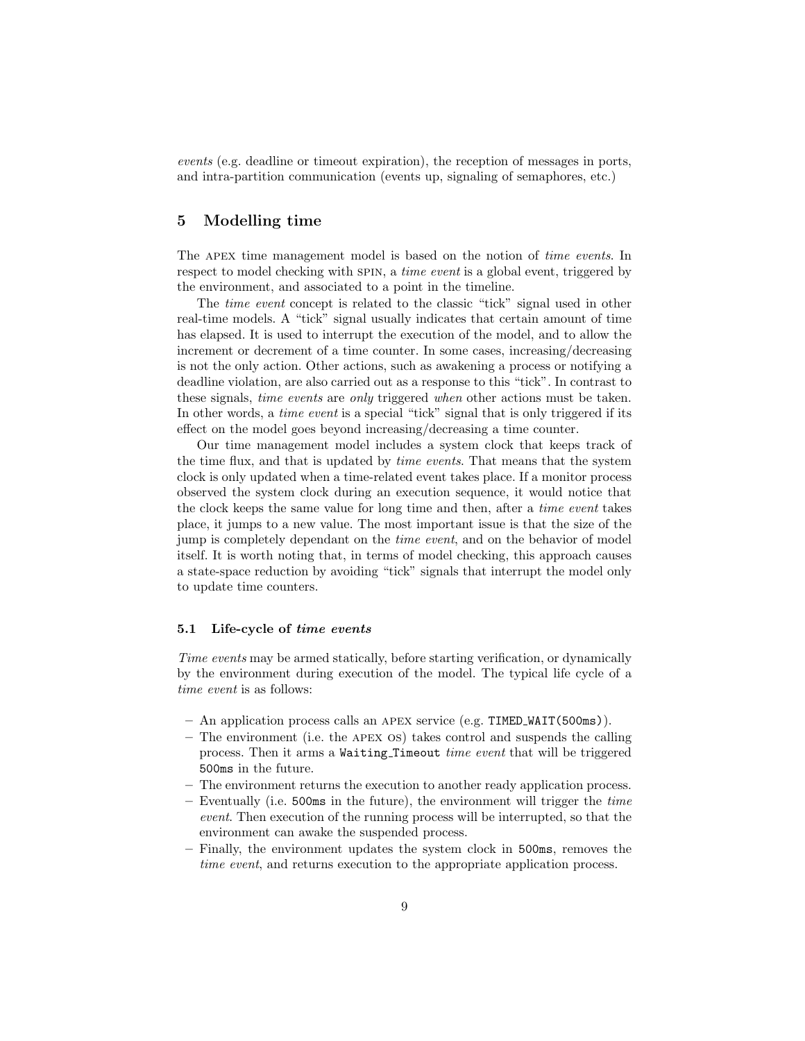events (e.g. deadline or timeout expiration), the reception of messages in ports, and intra-partition communication (events up, signaling of semaphores, etc.)

## 5 Modelling time

The APEX time management model is based on the notion of *time events*. In respect to model checking with SPIN, a *time event* is a global event, triggered by the environment, and associated to a point in the timeline.

The time event concept is related to the classic "tick" signal used in other real-time models. A "tick" signal usually indicates that certain amount of time has elapsed. It is used to interrupt the execution of the model, and to allow the increment or decrement of a time counter. In some cases, increasing/decreasing is not the only action. Other actions, such as awakening a process or notifying a deadline violation, are also carried out as a response to this "tick". In contrast to these signals, time events are only triggered when other actions must be taken. In other words, a *time event* is a special "tick" signal that is only triggered if its effect on the model goes beyond increasing/decreasing a time counter.

Our time management model includes a system clock that keeps track of the time flux, and that is updated by time events. That means that the system clock is only updated when a time-related event takes place. If a monitor process observed the system clock during an execution sequence, it would notice that the clock keeps the same value for long time and then, after a time event takes place, it jumps to a new value. The most important issue is that the size of the jump is completely dependant on the time event, and on the behavior of model itself. It is worth noting that, in terms of model checking, this approach causes a state-space reduction by avoiding "tick" signals that interrupt the model only to update time counters.

#### 5.1 Life-cycle of time events

Time events may be armed statically, before starting verification, or dynamically by the environment during execution of the model. The typical life cycle of a time event is as follows:

- An application process calls an apex service (e.g. TIMED WAIT(500ms)).
- The environment (i.e. the apex os) takes control and suspends the calling process. Then it arms a Waiting Timeout time event that will be triggered 500ms in the future.
- The environment returns the execution to another ready application process.
- Eventually (i.e. 500ms in the future), the environment will trigger the *time* event. Then execution of the running process will be interrupted, so that the environment can awake the suspended process.
- Finally, the environment updates the system clock in 500ms, removes the time event, and returns execution to the appropriate application process.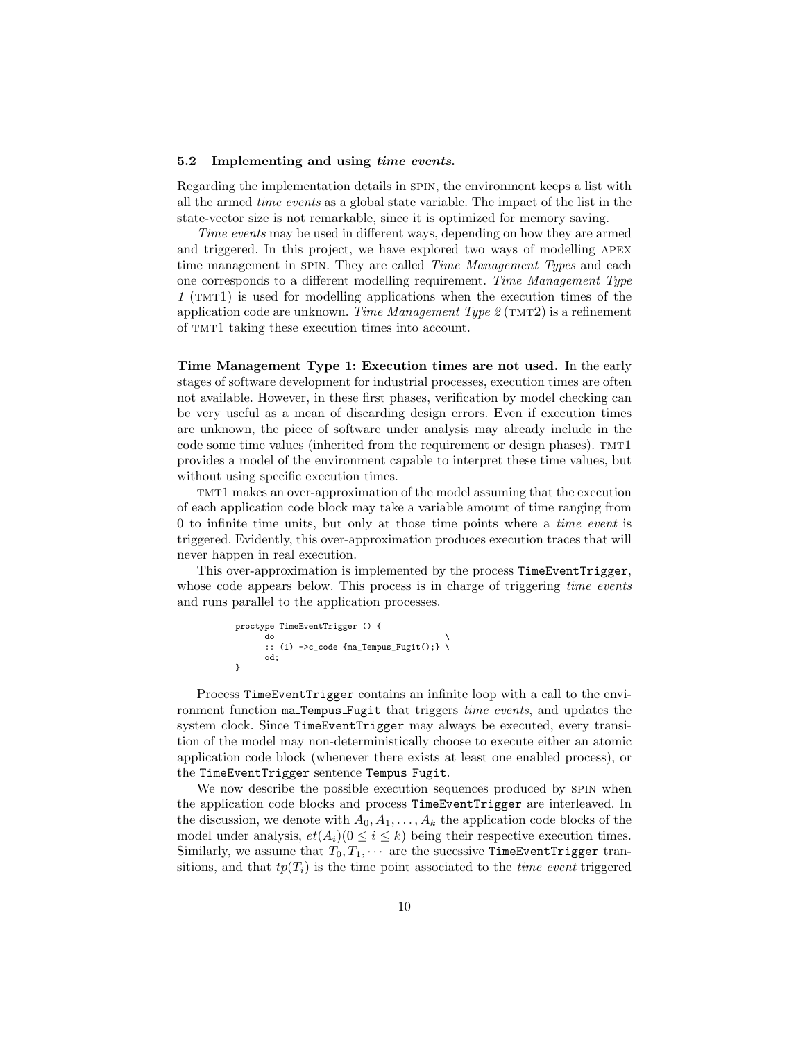#### 5.2 Implementing and using time events.

Regarding the implementation details in spin, the environment keeps a list with all the armed time events as a global state variable. The impact of the list in the state-vector size is not remarkable, since it is optimized for memory saving.

Time events may be used in different ways, depending on how they are armed and triggered. In this project, we have explored two ways of modelling apex time management in SPIN. They are called *Time Management Types* and each one corresponds to a different modelling requirement. Time Management Type 1 (TMT1) is used for modelling applications when the execution times of the application code are unknown. Time Management Type  $\mathcal{Z}(\text{TMT2})$  is a refinement of tmt1 taking these execution times into account.

Time Management Type 1: Execution times are not used. In the early stages of software development for industrial processes, execution times are often not available. However, in these first phases, verification by model checking can be very useful as a mean of discarding design errors. Even if execution times are unknown, the piece of software under analysis may already include in the code some time values (inherited from the requirement or design phases). TMT1 provides a model of the environment capable to interpret these time values, but without using specific execution times.

tmt1 makes an over-approximation of the model assuming that the execution of each application code block may take a variable amount of time ranging from 0 to infinite time units, but only at those time points where a time event is triggered. Evidently, this over-approximation produces execution traces that will never happen in real execution.

This over-approximation is implemented by the process TimeEventTrigger, whose code appears below. This process is in charge of triggering time events and runs parallel to the application processes.

proctype TimeEventTrigger () { do \ :: (1) ->c\_code {ma\_Tempus\_Fugit();} \ od; }

Process TimeEventTrigger contains an infinite loop with a call to the environment function ma\_Tempus\_Fugit that triggers time events, and updates the system clock. Since TimeEventTrigger may always be executed, every transition of the model may non-deterministically choose to execute either an atomic application code block (whenever there exists at least one enabled process), or the TimeEventTrigger sentence Tempus Fugit.

We now describe the possible execution sequences produced by SPIN when the application code blocks and process TimeEventTrigger are interleaved. In the discussion, we denote with  $A_0, A_1, \ldots, A_k$  the application code blocks of the model under analysis,  $et(A_i)(0 \leq i \leq k)$  being their respective execution times. Similarly, we assume that  $T_0, T_1, \cdots$  are the sucessive TimeEventTrigger transitions, and that  $tp(T_i)$  is the time point associated to the *time event* triggered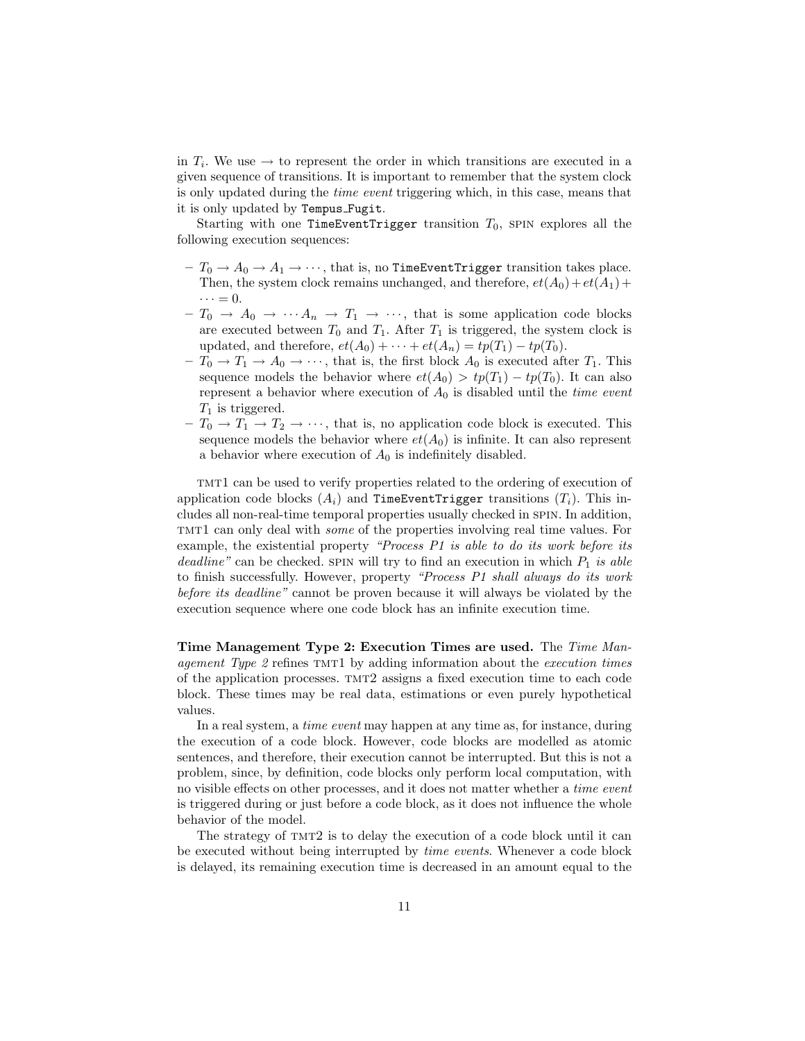in  $T_i$ . We use  $\rightarrow$  to represent the order in which transitions are executed in a given sequence of transitions. It is important to remember that the system clock is only updated during the time event triggering which, in this case, means that it is only updated by Tempus Fugit.

Starting with one TimeEventTrigger transition  $T_0$ , SPIN explores all the following execution sequences:

- $-T_0 \to A_0 \to A_1 \to \cdots$ , that is, no TimeEventTrigger transition takes place. Then, the system clock remains unchanged, and therefore,  $et(A_0)+et(A_1)+$  $\cdots = 0.$
- $-T_0 \rightarrow A_0 \rightarrow \cdots A_n \rightarrow T_1 \rightarrow \cdots$ , that is some application code blocks are executed between  $T_0$  and  $T_1$ . After  $T_1$  is triggered, the system clock is updated, and therefore,  $et(A_0) + \cdots + et(A_n) = tp(T_1) - tp(T_0)$ .
- $T_0 \to T_1 \to A_0 \to \cdots$ , that is, the first block  $A_0$  is executed after  $T_1$ . This sequence models the behavior where  $et(A_0) > tp(T_1) - tp(T_0)$ . It can also represent a behavior where execution of  $A_0$  is disabled until the *time event*  $T_1$  is triggered.
- $-T_0 \rightarrow T_1 \rightarrow T_2 \rightarrow \cdots$ , that is, no application code block is executed. This sequence models the behavior where  $et(A_0)$  is infinite. It can also represent a behavior where execution of  $A_0$  is indefinitely disabled.

TMT1 can be used to verify properties related to the ordering of execution of application code blocks  $(A_i)$  and TimeEventTrigger transitions  $(T_i)$ . This includes all non-real-time temporal properties usually checked in spin. In addition, tmt1 can only deal with some of the properties involving real time values. For example, the existential property "Process P1 is able to do its work before its deadline" can be checked. SPIN will try to find an execution in which  $P_1$  is able to finish successfully. However, property "Process P1 shall always do its work before its deadline" cannot be proven because it will always be violated by the execution sequence where one code block has an infinite execution time.

Time Management Type 2: Execution Times are used. The Time Management Type  $2$  refines TMT1 by adding information about the execution times of the application processes. tmt2 assigns a fixed execution time to each code block. These times may be real data, estimations or even purely hypothetical values.

In a real system, a *time event* may happen at any time as, for instance, during the execution of a code block. However, code blocks are modelled as atomic sentences, and therefore, their execution cannot be interrupted. But this is not a problem, since, by definition, code blocks only perform local computation, with no visible effects on other processes, and it does not matter whether a time event is triggered during or just before a code block, as it does not influence the whole behavior of the model.

The strategy of TMT2 is to delay the execution of a code block until it can be executed without being interrupted by time events. Whenever a code block is delayed, its remaining execution time is decreased in an amount equal to the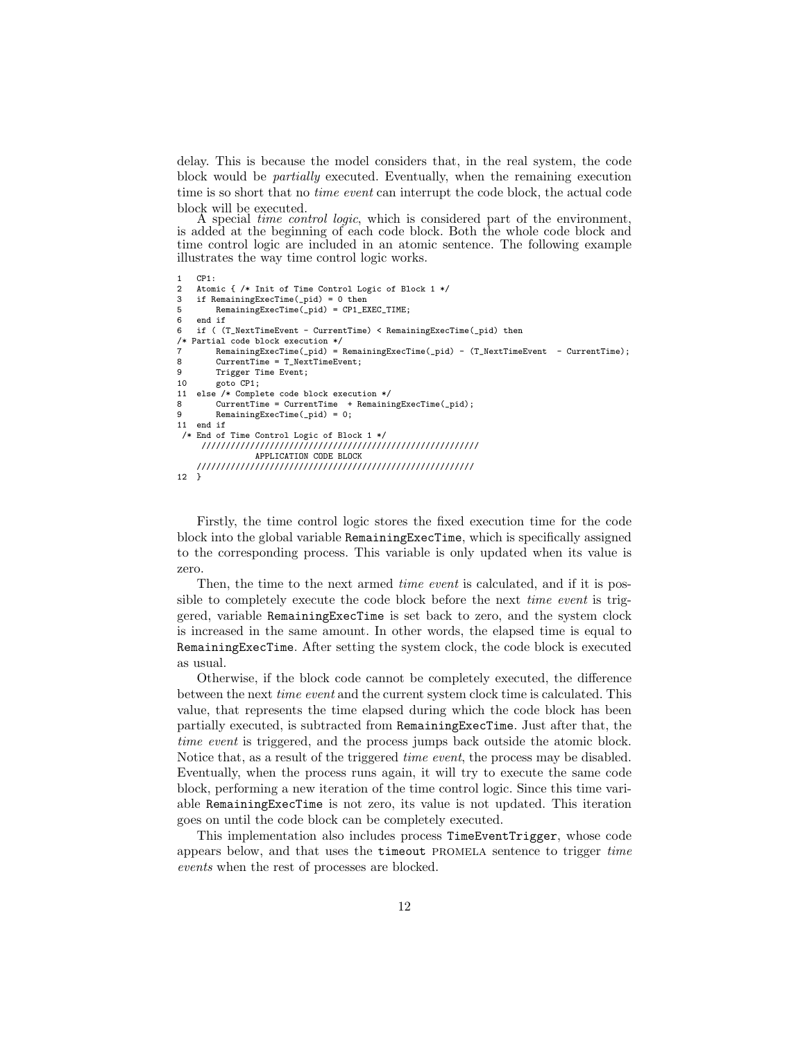delay. This is because the model considers that, in the real system, the code block would be partially executed. Eventually, when the remaining execution time is so short that no time event can interrupt the code block, the actual code

block will be executed.<br>A special *time control logic*, which is considered part of the environment, is added at the beginning of each code block. Both the whole code block and time control logic are included in an atomic sentence. The following example illustrates the way time control logic works.

```
1 CP1:
2 Atomic { /* Init of Time Control Logic of Block 1 */<br>3 if Remaining Exec Time ( pid) = 0 then
    if RemainingExecTime(_pid) = 0 then
5 RemainingExecTime(_pid) = CP1_EXEC_TIME;
6 end if
6 if ( (T_NextTimeEvent - CurrentTime) < RemainingExecTime(_pid) then
/* Partial code block execution */
7 RemainingExecTime(_pid) = RemainingExecTime(_pid) - (T_NextTimeEvent - CurrentTime);
        CurrentTime = T NextTimeEvent;
9 Trigger Time Event;<br>10 \sigmaoto CP1:
        goto CP1:
11 else /* Complete code block execution */
8 CurrentTime = CurrentTime + RemainingExecTime(_pid);
9 RemainingExecTime(_pid) = 0;
11 end if
/* End of Time Control Logic of Block 1 */
     /////////////////////////////////////////////////////////
                APPLICATION CODE BLOCK
    /////////////////////////////////////////////////////////
12 \t)
```
Firstly, the time control logic stores the fixed execution time for the code block into the global variable RemainingExecTime, which is specifically assigned to the corresponding process. This variable is only updated when its value is zero.

Then, the time to the next armed *time event* is calculated, and if it is possible to completely execute the code block before the next time event is triggered, variable RemainingExecTime is set back to zero, and the system clock is increased in the same amount. In other words, the elapsed time is equal to RemainingExecTime. After setting the system clock, the code block is executed as usual.

Otherwise, if the block code cannot be completely executed, the difference between the next time event and the current system clock time is calculated. This value, that represents the time elapsed during which the code block has been partially executed, is subtracted from RemainingExecTime. Just after that, the time event is triggered, and the process jumps back outside the atomic block. Notice that, as a result of the triggered time event, the process may be disabled. Eventually, when the process runs again, it will try to execute the same code block, performing a new iteration of the time control logic. Since this time variable RemainingExecTime is not zero, its value is not updated. This iteration goes on until the code block can be completely executed.

This implementation also includes process TimeEventTrigger, whose code appears below, and that uses the timeout promela sentence to trigger time events when the rest of processes are blocked.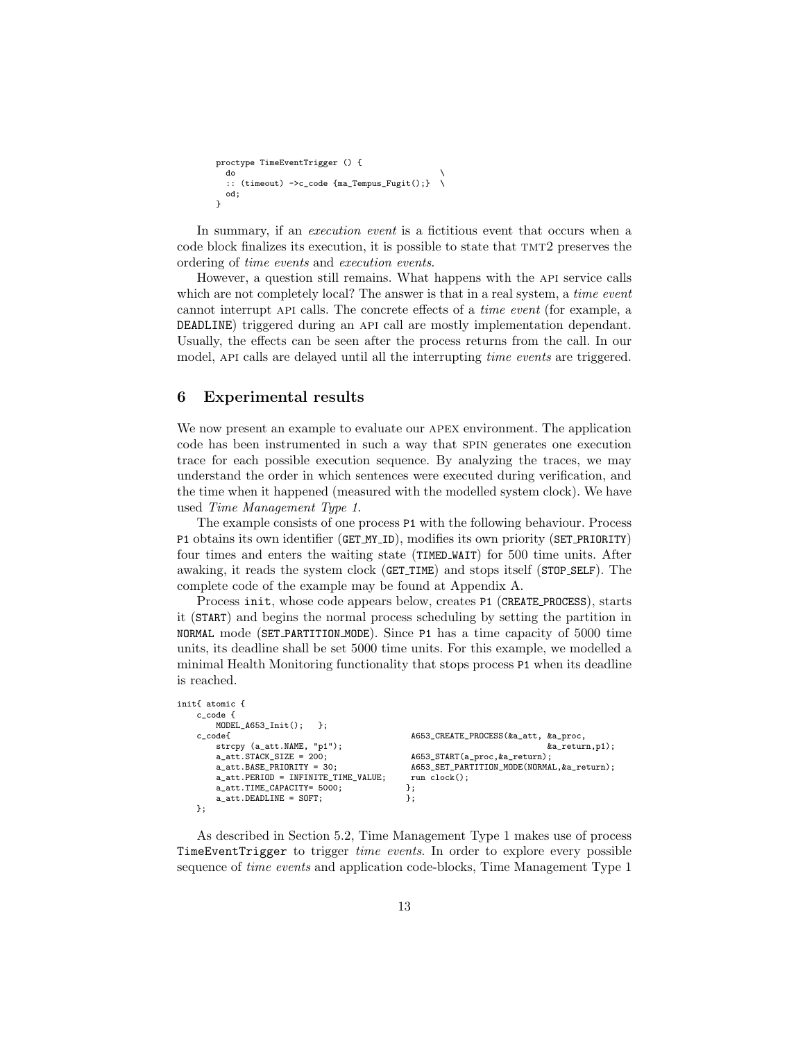```
proctype TimeEventTrigger () {
  \sim do \sim \sim:: (timeout) -\infty-code {ma_Tempus_Fugit();} \
 od;
}
```
In summary, if an *execution event* is a fictitious event that occurs when a code block finalizes its execution, it is possible to state that tmt2 preserves the ordering of time events and execution events.

However, a question still remains. What happens with the api service calls which are not completely local? The answer is that in a real system, a time event cannot interrupt api calls. The concrete effects of a time event (for example, a DEADLINE) triggered during an api call are mostly implementation dependant. Usually, the effects can be seen after the process returns from the call. In our model, API calls are delayed until all the interrupting time events are triggered.

# 6 Experimental results

We now present an example to evaluate our APEX environment. The application code has been instrumented in such a way that spin generates one execution trace for each possible execution sequence. By analyzing the traces, we may understand the order in which sentences were executed during verification, and the time when it happened (measured with the modelled system clock). We have used Time Management Type 1.

The example consists of one process P1 with the following behaviour. Process P1 obtains its own identifier (GET MY ID), modifies its own priority (SET PRIORITY) four times and enters the waiting state (TIMED WAIT) for 500 time units. After awaking, it reads the system clock (GET TIME) and stops itself (STOP SELF). The complete code of the example may be found at Appendix A.

Process init, whose code appears below, creates P1 (CREATE PROCESS), starts it (START) and begins the normal process scheduling by setting the partition in NORMAL mode (SET PARTITION MODE). Since P1 has a time capacity of 5000 time units, its deadline shall be set 5000 time units. For this example, we modelled a minimal Health Monitoring functionality that stops process P1 when its deadline is reached.

```
init{ atomic {
    c_code {
    MODEL_A653_Init(); };<br>c code{
                                                              A653_CREATE_PROCESS(&a_att, &a_proc,
         strcpy (a_att.NAME, "p1");<br>a_att.STACK_SIZE = 200;<br>A653_START(a_proc.&a_return);
         a_1att.STACK_SIZE = 200;<br>a_2att.BASE_PRIORITY = 30;<br>A653_SET_PARTITION_MODE(NORMA)
                                                             A653_SET_PARTITION_MODE(NORMAL, &a_return);<br>run clock();
         a_1att.PERIOD = INFINITE_TIME_VALUE; run att.TIME CAPACITY= 5000:
         a_{\text{at}}.TIME_CAPACITY= 5000; \};<br>a_{\text{at}}.DEADLINE = SOFT; \};
          a_att.DEADLINE = SOFT; };
    };
```
As described in Section 5.2, Time Management Type 1 makes use of process TimeEventTrigger to trigger time events. In order to explore every possible sequence of *time events* and application code-blocks, Time Management Type 1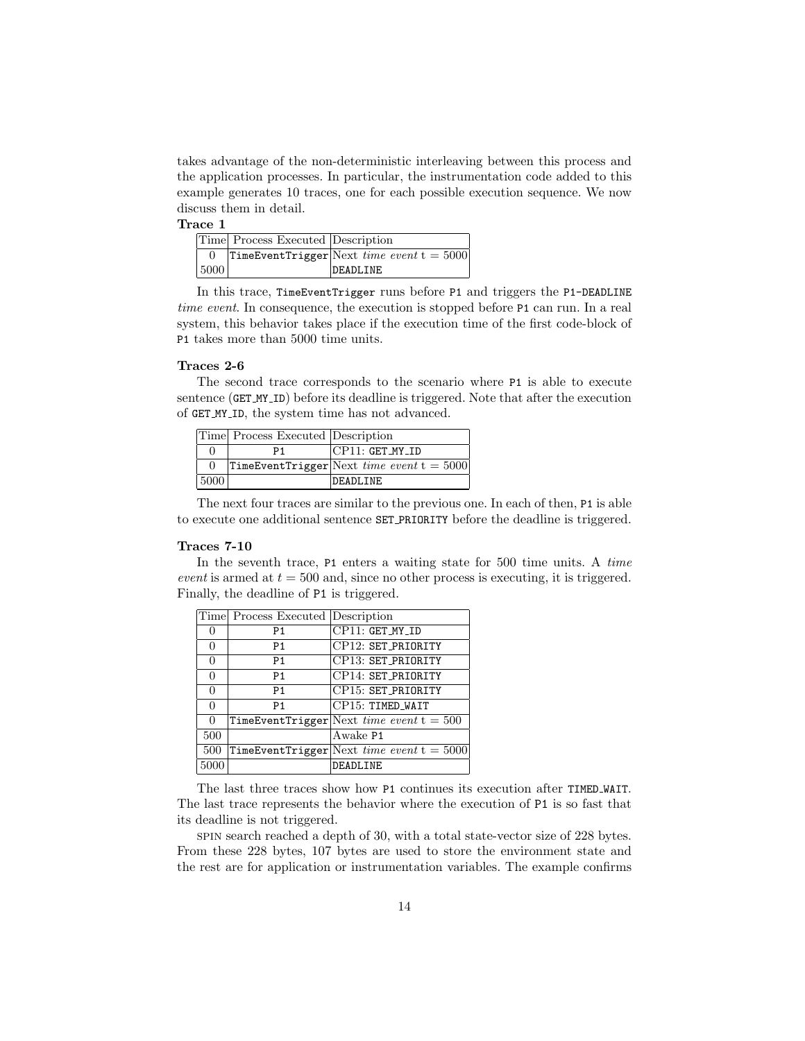takes advantage of the non-deterministic interleaving between this process and the application processes. In particular, the instrumentation code added to this example generates 10 traces, one for each possible execution sequence. We now discuss them in detail.

#### Trace 1

|      | Time Process Executed Description |                                             |
|------|-----------------------------------|---------------------------------------------|
|      |                                   | TimeEventTrigger Next time event $t = 5000$ |
| 5000 |                                   | DEADLINE.                                   |

In this trace, TimeEventTrigger runs before P1 and triggers the P1-DEADLINE time event. In consequence, the execution is stopped before P1 can run. In a real system, this behavior takes place if the execution time of the first code-block of P1 takes more than 5000 time units.

#### Traces 2-6

The second trace corresponds to the scenario where P1 is able to execute sentence (GET\_MY\_ID) before its deadline is triggered. Note that after the execution of GET MY ID, the system time has not advanced.

|          | Time Process Executed Description |                                             |
|----------|-----------------------------------|---------------------------------------------|
|          | P1                                | $CP11: GET_MYID$                            |
| ∩        |                                   | TimeEventTrigger Next time event $t = 5000$ |
| $\,5000$ |                                   | DEADI.TNE                                   |

The next four traces are similar to the previous one. In each of then, P1 is able to execute one additional sentence SET PRIORITY before the deadline is triggered.

#### Traces 7-10

In the seventh trace, P1 enters a waiting state for 500 time units. A time event is armed at  $t = 500$  and, since no other process is executing, it is triggered. Finally, the deadline of P1 is triggered.

|          | Time Process Executed Description |                                             |
|----------|-----------------------------------|---------------------------------------------|
| 0        | P1                                | $CP11: GET_MYID$                            |
| $\Omega$ | P <sub>1</sub>                    | CP12: SET_PRIORITY                          |
| $\Omega$ | P <sub>1</sub>                    | CP13: SET_PRIORITY                          |
| $\Omega$ | P <sub>1</sub>                    | CP14: SET_PRIORITY                          |
| $\Omega$ | P <sub>1</sub>                    | CP15: SET_PRIORITY                          |
| $\Omega$ | P <sub>1</sub>                    | CP15: TIMED_WAIT                            |
| $\Omega$ |                                   | TimeEventTrigger Next time event $t = 500$  |
| 500      |                                   | Awake P1                                    |
| 500      |                                   | TimeEventTrigger Next time event $t = 5000$ |
| 5000     |                                   | DEADLINE                                    |

The last three traces show how P1 continues its execution after TIMED WAIT. The last trace represents the behavior where the execution of P1 is so fast that its deadline is not triggered.

spin search reached a depth of 30, with a total state-vector size of 228 bytes. From these 228 bytes, 107 bytes are used to store the environment state and the rest are for application or instrumentation variables. The example confirms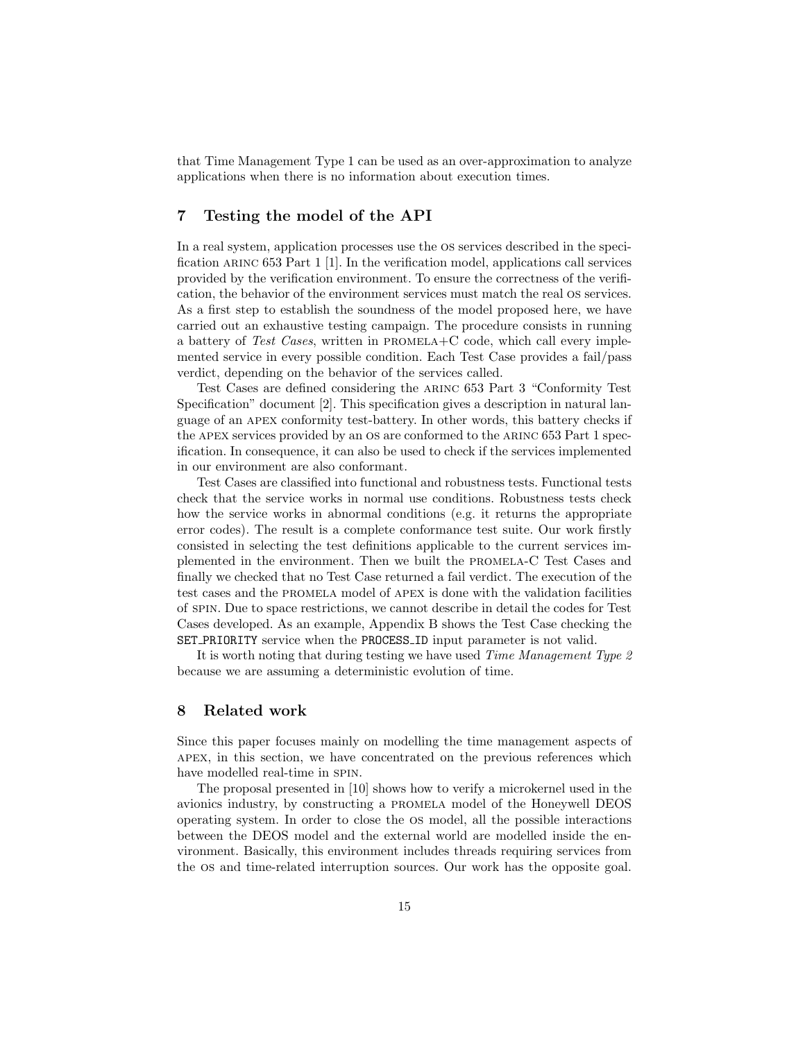that Time Management Type 1 can be used as an over-approximation to analyze applications when there is no information about execution times.

# 7 Testing the model of the API

In a real system, application processes use the os services described in the specification ARINC 653 Part 1 [1]. In the verification model, applications call services provided by the verification environment. To ensure the correctness of the verification, the behavior of the environment services must match the real os services. As a first step to establish the soundness of the model proposed here, we have carried out an exhaustive testing campaign. The procedure consists in running a battery of Test Cases, written in  $PROMELA+C$  code, which call every implemented service in every possible condition. Each Test Case provides a fail/pass verdict, depending on the behavior of the services called.

Test Cases are defined considering the arinc 653 Part 3 "Conformity Test Specification" document [2]. This specification gives a description in natural language of an apex conformity test-battery. In other words, this battery checks if the apex services provided by an os are conformed to the arinc 653 Part 1 specification. In consequence, it can also be used to check if the services implemented in our environment are also conformant.

Test Cases are classified into functional and robustness tests. Functional tests check that the service works in normal use conditions. Robustness tests check how the service works in abnormal conditions (e.g. it returns the appropriate error codes). The result is a complete conformance test suite. Our work firstly consisted in selecting the test definitions applicable to the current services implemented in the environment. Then we built the promela-C Test Cases and finally we checked that no Test Case returned a fail verdict. The execution of the test cases and the promela model of apex is done with the validation facilities of spin. Due to space restrictions, we cannot describe in detail the codes for Test Cases developed. As an example, Appendix B shows the Test Case checking the SET PRIORITY service when the PROCESS ID input parameter is not valid.

It is worth noting that during testing we have used Time Management Type 2 because we are assuming a deterministic evolution of time.

## 8 Related work

Since this paper focuses mainly on modelling the time management aspects of apex, in this section, we have concentrated on the previous references which have modelled real-time in spin.

The proposal presented in [10] shows how to verify a microkernel used in the avionics industry, by constructing a promela model of the Honeywell DEOS operating system. In order to close the os model, all the possible interactions between the DEOS model and the external world are modelled inside the environment. Basically, this environment includes threads requiring services from the os and time-related interruption sources. Our work has the opposite goal.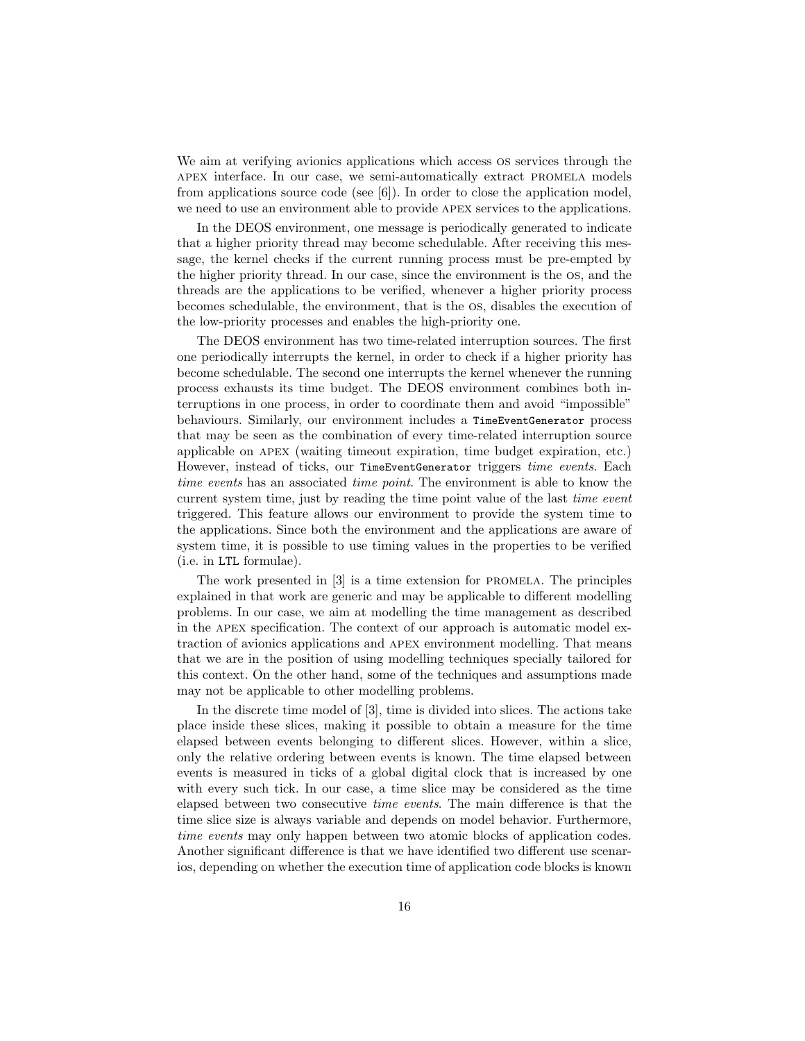We aim at verifying avionics applications which access os services through the apex interface. In our case, we semi-automatically extract promela models from applications source code (see [6]). In order to close the application model, we need to use an environment able to provide apex services to the applications.

In the DEOS environment, one message is periodically generated to indicate that a higher priority thread may become schedulable. After receiving this message, the kernel checks if the current running process must be pre-empted by the higher priority thread. In our case, since the environment is the os, and the threads are the applications to be verified, whenever a higher priority process becomes schedulable, the environment, that is the os, disables the execution of the low-priority processes and enables the high-priority one.

The DEOS environment has two time-related interruption sources. The first one periodically interrupts the kernel, in order to check if a higher priority has become schedulable. The second one interrupts the kernel whenever the running process exhausts its time budget. The DEOS environment combines both interruptions in one process, in order to coordinate them and avoid "impossible" behaviours. Similarly, our environment includes a TimeEventGenerator process that may be seen as the combination of every time-related interruption source applicable on apex (waiting timeout expiration, time budget expiration, etc.) However, instead of ticks, our TimeEventGenerator triggers time events. Each time events has an associated time point. The environment is able to know the current system time, just by reading the time point value of the last time event triggered. This feature allows our environment to provide the system time to the applications. Since both the environment and the applications are aware of system time, it is possible to use timing values in the properties to be verified (i.e. in LTL formulae).

The work presented in [3] is a time extension for promela. The principles explained in that work are generic and may be applicable to different modelling problems. In our case, we aim at modelling the time management as described in the apex specification. The context of our approach is automatic model extraction of avionics applications and apex environment modelling. That means that we are in the position of using modelling techniques specially tailored for this context. On the other hand, some of the techniques and assumptions made may not be applicable to other modelling problems.

In the discrete time model of [3], time is divided into slices. The actions take place inside these slices, making it possible to obtain a measure for the time elapsed between events belonging to different slices. However, within a slice, only the relative ordering between events is known. The time elapsed between events is measured in ticks of a global digital clock that is increased by one with every such tick. In our case, a time slice may be considered as the time elapsed between two consecutive time events. The main difference is that the time slice size is always variable and depends on model behavior. Furthermore, time events may only happen between two atomic blocks of application codes. Another significant difference is that we have identified two different use scenarios, depending on whether the execution time of application code blocks is known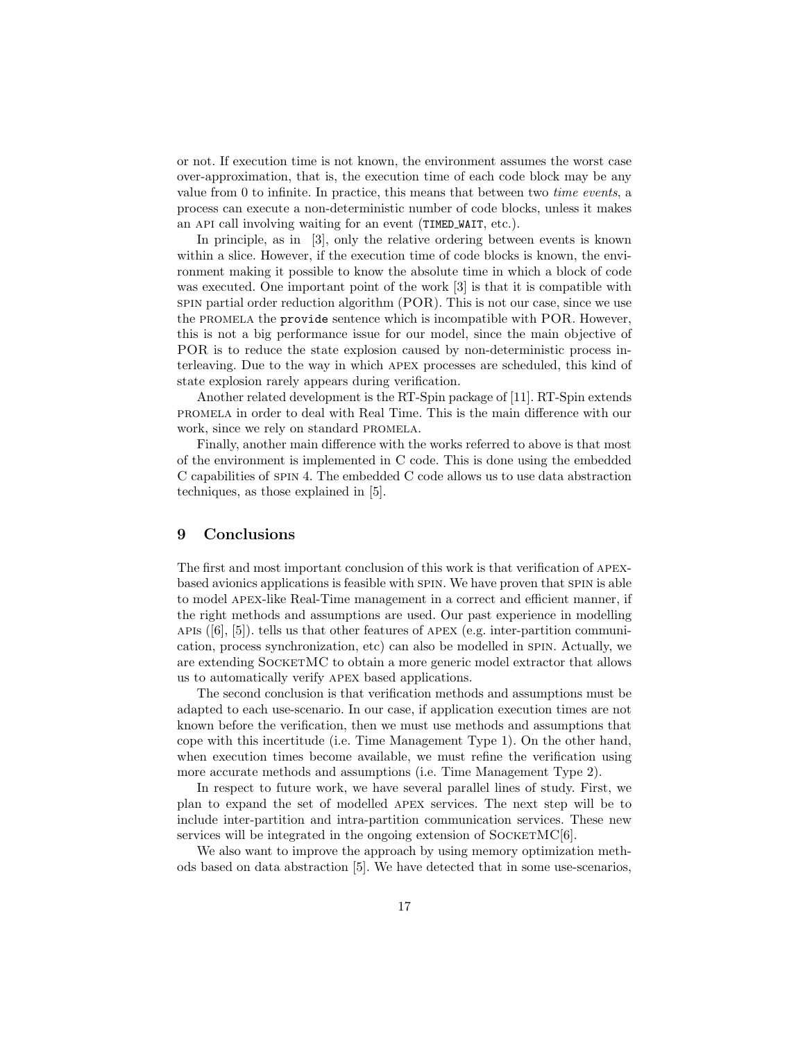or not. If execution time is not known, the environment assumes the worst case over-approximation, that is, the execution time of each code block may be any value from 0 to infinite. In practice, this means that between two time events, a process can execute a non-deterministic number of code blocks, unless it makes an API call involving waiting for an event (TIMED WAIT, etc.).

In principle, as in [3], only the relative ordering between events is known within a slice. However, if the execution time of code blocks is known, the environment making it possible to know the absolute time in which a block of code was executed. One important point of the work [3] is that it is compatible with spin partial order reduction algorithm (POR). This is not our case, since we use the promela the provide sentence which is incompatible with POR. However, this is not a big performance issue for our model, since the main objective of POR is to reduce the state explosion caused by non-deterministic process interleaving. Due to the way in which apex processes are scheduled, this kind of state explosion rarely appears during verification.

Another related development is the RT-Spin package of [11]. RT-Spin extends promela in order to deal with Real Time. This is the main difference with our work, since we rely on standard PROMELA.

Finally, another main difference with the works referred to above is that most of the environment is implemented in C code. This is done using the embedded C capabilities of spin 4. The embedded C code allows us to use data abstraction techniques, as those explained in [5].

## 9 Conclusions

The first and most important conclusion of this work is that verification of apexbased avionics applications is feasible with spin. We have proven that spin is able to model apex-like Real-Time management in a correct and efficient manner, if the right methods and assumptions are used. Our past experience in modelling APIS  $([6], [5])$ . tells us that other features of APEX (e.g. inter-partition communication, process synchronization, etc) can also be modelled in spin. Actually, we are extending SocketMC to obtain a more generic model extractor that allows us to automatically verify apex based applications.

The second conclusion is that verification methods and assumptions must be adapted to each use-scenario. In our case, if application execution times are not known before the verification, then we must use methods and assumptions that cope with this incertitude (i.e. Time Management Type 1). On the other hand, when execution times become available, we must refine the verification using more accurate methods and assumptions (i.e. Time Management Type 2).

In respect to future work, we have several parallel lines of study. First, we plan to expand the set of modelled apex services. The next step will be to include inter-partition and intra-partition communication services. These new services will be integrated in the ongoing extension of  $SockETMC[6]$ .

We also want to improve the approach by using memory optimization methods based on data abstraction [5]. We have detected that in some use-scenarios,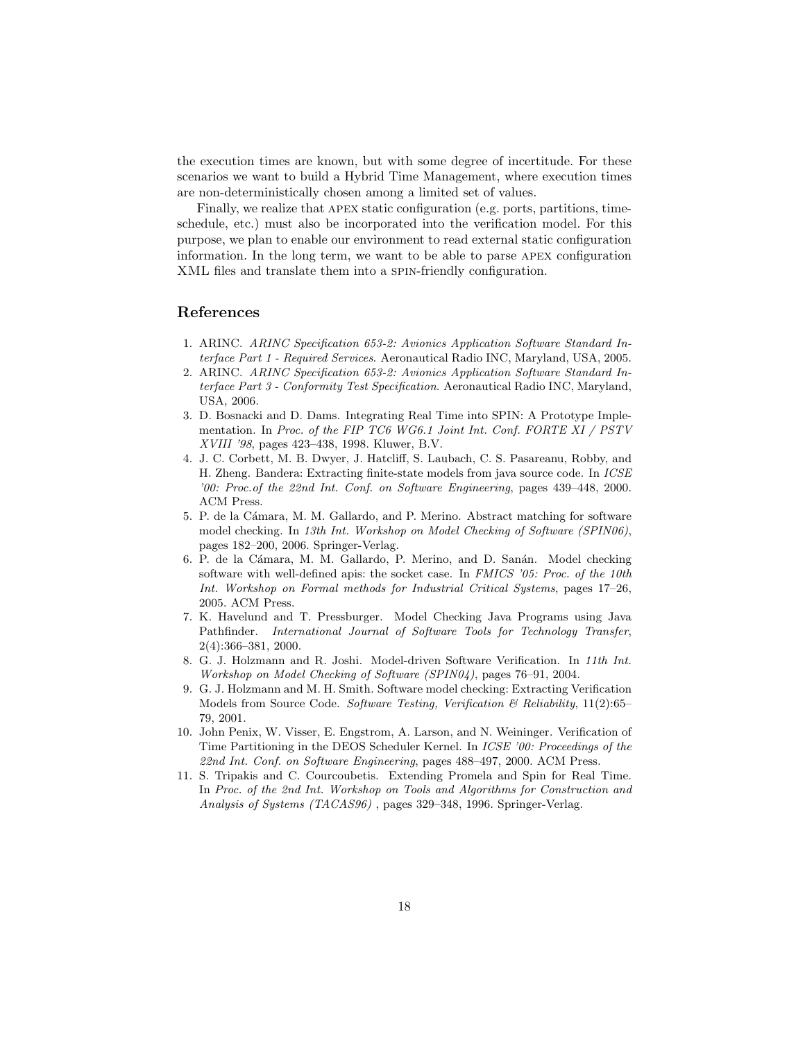the execution times are known, but with some degree of incertitude. For these scenarios we want to build a Hybrid Time Management, where execution times are non-deterministically chosen among a limited set of values.

Finally, we realize that apex static configuration (e.g. ports, partitions, timeschedule, etc.) must also be incorporated into the verification model. For this purpose, we plan to enable our environment to read external static configuration information. In the long term, we want to be able to parse apex configuration XML files and translate them into a spin-friendly configuration.

### References

- 1. ARINC. ARINC Specification 653-2: Avionics Application Software Standard Interface Part 1 - Required Services. Aeronautical Radio INC, Maryland, USA, 2005.
- 2. ARINC. ARINC Specification 653-2: Avionics Application Software Standard Interface Part 3 - Conformity Test Specification. Aeronautical Radio INC, Maryland, USA, 2006.
- 3. D. Bosnacki and D. Dams. Integrating Real Time into SPIN: A Prototype Implementation. In Proc. of the FIP TC6 WG6.1 Joint Int. Conf. FORTE XI / PSTV XVIII '98, pages 423–438, 1998. Kluwer, B.V.
- 4. J. C. Corbett, M. B. Dwyer, J. Hatcliff, S. Laubach, C. S. Pasareanu, Robby, and H. Zheng. Bandera: Extracting finite-state models from java source code. In ICSE '00: Proc.of the 22nd Int. Conf. on Software Engineering, pages 439–448, 2000. ACM Press.
- 5. P. de la C´amara, M. M. Gallardo, and P. Merino. Abstract matching for software model checking. In 13th Int. Workshop on Model Checking of Software (SPIN06), pages 182–200, 2006. Springer-Verlag.
- 6. P. de la Cámara, M. M. Gallardo, P. Merino, and D. Sanán. Model checking software with well-defined apis: the socket case. In FMICS '05: Proc. of the 10th Int. Workshop on Formal methods for Industrial Critical Systems, pages 17–26, 2005. ACM Press.
- 7. K. Havelund and T. Pressburger. Model Checking Java Programs using Java Pathfinder. International Journal of Software Tools for Technology Transfer, 2(4):366–381, 2000.
- 8. G. J. Holzmann and R. Joshi. Model-driven Software Verification. In 11th Int. Workshop on Model Checking of Software (SPIN04), pages 76–91, 2004.
- 9. G. J. Holzmann and M. H. Smith. Software model checking: Extracting Verification Models from Source Code. Software Testing, Verification & Reliability,  $11(2):65-$ 79, 2001.
- 10. John Penix, W. Visser, E. Engstrom, A. Larson, and N. Weininger. Verification of Time Partitioning in the DEOS Scheduler Kernel. In ICSE '00: Proceedings of the 22nd Int. Conf. on Software Engineering, pages 488–497, 2000. ACM Press.
- 11. S. Tripakis and C. Courcoubetis. Extending Promela and Spin for Real Time. In Proc. of the 2nd Int. Workshop on Tools and Algorithms for Construction and Analysis of Systems (TACAS96) , pages 329–348, 1996. Springer-Verlag.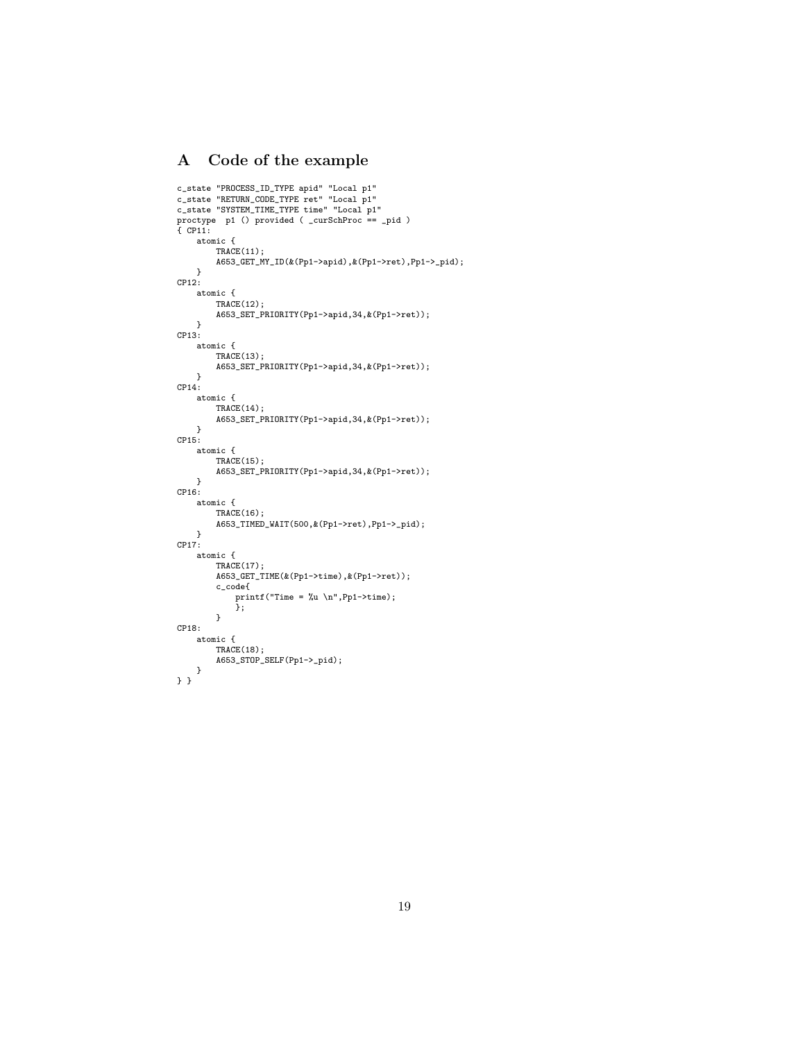# A Code of the example

```
c_state "PROCESS_ID_TYPE apid" "Local p1"
c_state "RETURN_CODE_TYPE ret" "Local p1"
c_state "SYSTEM_TIME_TYPE time" "Local p1"
proctype p1 () provided ( _curSchProc == _pid )
{ CP11:
     atomic {
         TRACE(11);\texttt{A653\_GET\_MY\_ID}(\&(\texttt{Pp1}\texttt{-}\texttt{apid}),\&(\texttt{Pp1}\texttt{-}\texttt{ret}),\texttt{Pp1}\texttt{-}\texttt{-pid});}
CP12:
     atomic {
         TRACE(12);
         A653_SET_PRIORITY(Pp1->apid,34,&(Pp1->ret));
    }
CP13:
     atomic {
         TRACE(13);
         A653_SET_PRIORITY(Pp1->apid,34,&(Pp1->ret));
     }
CP14:
     atomic {
         TRACE(14);
         A653_SET_PRIORITY(Pp1->apid,34,&(Pp1->ret));
    }
CP15:
     atomic {
         TRACE(15);
         A653_SET_PRIORITY(Pp1->apid,34,&(Pp1->ret));
     }
CP16:
     atomic {
         TRACE(16);
         A653_TIMED_WAIT(500,&(Pp1->ret),Pp1->_pid);
     }
CP17:
     atomic {
         TRACE(17);
         A653_GET_TIME(&(Pp1->time),&(Pp1->ret));
         c_code{
               printf("Time = %u \n",Pp1->time);
};
         }
CP18:
     atomic {
         TRACE(18);A653_STOP_SELF(Pp1->_pid);
    }
} }
```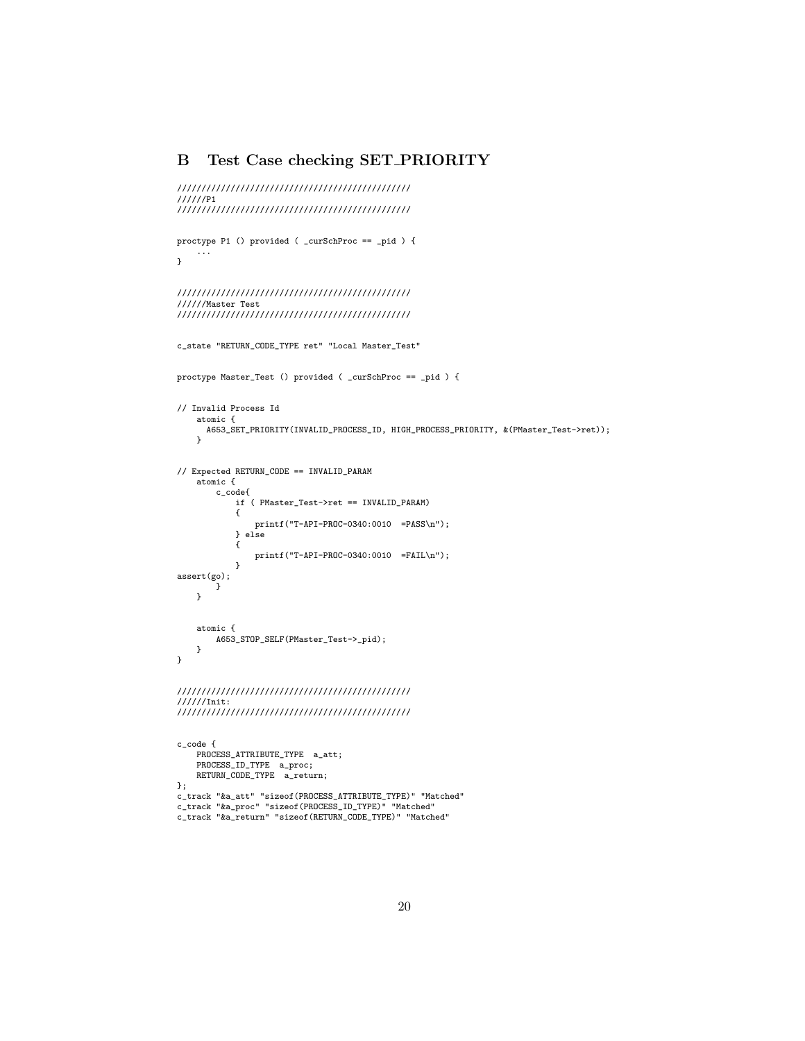# B Test Case checking SET PRIORITY

```
////////////////////////////////////////////////
//////P1
////////////////////////////////////////////////
proctype P1 () provided ( _curSchProc == _pid ) {
    ...
}
////////////////////////////////////////////////
//////Master Test
////////////////////////////////////////////////
c_state "RETURN_CODE_TYPE ret" "Local Master_Test"
proctype Master_Test () provided ( _curSchProc == _pid ) {
// Invalid Process Id
     atomic {<br> A653_SET_PRIORITY(INVALID_PROCESS_ID, HIGH_PROCESS_PRIORITY, &(PMaster_Test->ret));<br>}
// Expected RETURN_CODE == INVALID_PARAM
    atomic {
        c_code{
             if ( PMaster_Test->ret == INVALID_PARAM)
             {
                 printf("T-API-PROC-0340:0010 =PASS\n");
             } else
            {
                 printf("T-API-PROC-0340:0010 =FAIL\n");
            }
assert(go);
        }
    }
    atomic {
        A653_STOP_SELF(PMaster_Test->_pid);
    }
}
////////////////////////////////////////////////
//////Init:
////////////////////////////////////////////////
c_code {
    PROCESS_ATTRIBUTE_TYPE a_att;
     PROCESS_ID_TYPE a_proc;
RETURN_CODE_TYPE a_return;
};
c_track "&a_att" "sizeof(PROCESS_ATTRIBUTE_TYPE)" "Matched"
c_track "&a_proc" "sizeof(PROCESS_ID_TYPE)" "Matched"
c_track "&a_return" "sizeof(RETURN_CODE_TYPE)" "Matched"
```